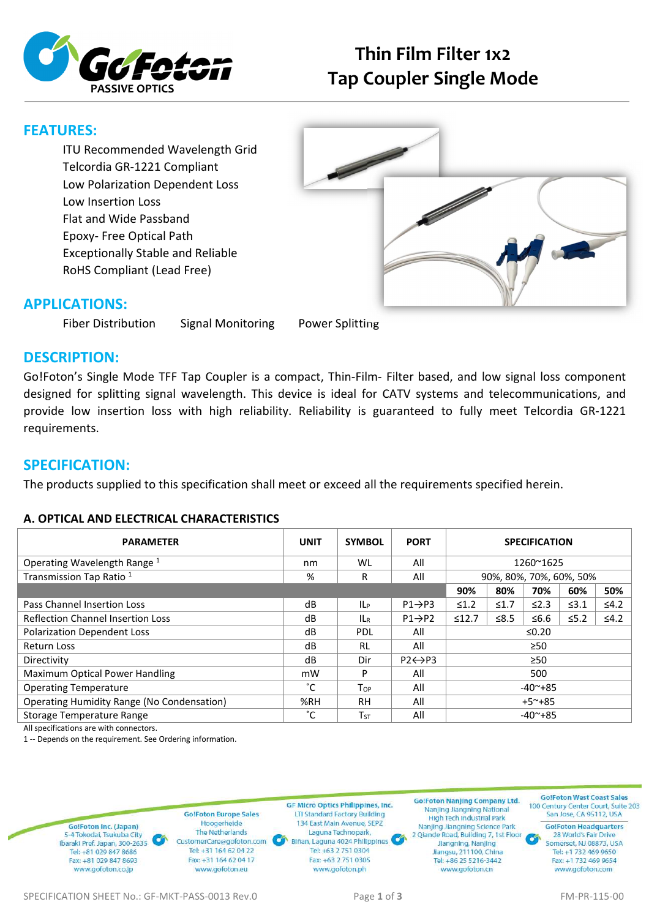

# **Thin Film Filter 1x2 Tap Coupler Single Mode**

## **FEATURES:**

ITU Recommended Wavelength Grid Telcordia GR-1221 Compliant Low Polarization Dependent Loss Low Insertion Loss Flat and Wide Passband Epoxy- Free Optical Path Exceptionally Stable and Reliable RoHS Compliant (Lead Free)



### **APPLICATIONS:**

Fiber Distribution Signal Monitoring Power Splitting

## **DESCRIPTION:**

Go!Foton's Single Mode TFF Tap Coupler is a compact, Thin-Film- Filter based, and low signal loss component designed for splitting signal wavelength. This device is ideal for CATV systems and telecommunications, and provide low insertion loss with high reliability. Reliability is guaranteed to fully meet Telcordia GR-1221 requirements.

## **SPECIFICATION:**

The products supplied to this specification shall meet or exceed all the requirements specified herein.

### **A. OPTICAL AND ELECTRICAL CHARACTERISTICS**

| <b>PARAMETER</b>                           | <b>UNIT</b> | <b>SYMBOL</b> | <b>PORT</b>             | <b>SPECIFICATION</b>    |            |            |            |            |
|--------------------------------------------|-------------|---------------|-------------------------|-------------------------|------------|------------|------------|------------|
| Operating Wavelength Range <sup>1</sup>    | nm          | WL            | All                     | 1260~1625               |            |            |            |            |
| Transmission Tap Ratio <sup>1</sup>        | %           | R             | All                     | 90%, 80%, 70%, 60%, 50% |            |            |            |            |
|                                            |             |               |                         | 90%                     | 80%        | 70%        | 60%        | 50%        |
| Pass Channel Insertion Loss                | dB          | <b>ILP</b>    | $P1 \rightarrow P3$     | $\leq 1.2$              | $\leq 1.7$ | $\leq$ 2.3 | $\leq 3.1$ | $\leq 4.2$ |
| <b>Reflection Channel Insertion Loss</b>   | dB          | ILR           | $P1 \rightarrow P2$     | ≤12.7                   | ≤ $8.5$    | ≤6.6       | $≤5.2$     | $\leq 4.2$ |
| <b>Polarization Dependent Loss</b>         | dB          | <b>PDL</b>    | All                     | ≤0.20                   |            |            |            |            |
| <b>Return Loss</b>                         | dB          | RL            | All                     | $\geq 50$               |            |            |            |            |
| Directivity                                | dB          | Dir           | $P2 \leftrightarrow P3$ | $\geq 50$               |            |            |            |            |
| Maximum Optical Power Handling             | mW          | P             | All                     | 500                     |            |            |            |            |
| <b>Operating Temperature</b>               | °С          | $T_{OP}$      | All                     | $-40^{\sim}+85$         |            |            |            |            |
| Operating Humidity Range (No Condensation) | %RH         | <b>RH</b>     | All                     | $+5^{\sim}+85$          |            |            |            |            |
| Storage Temperature Range                  | °С          | $T_{ST}$      | All                     | $-40^{\sim}+85$         |            |            |            |            |

All specifications are with connectors.

1 -- Depends on the requirement. See Ordering information.

**Go!Foton Europe Sales** Hoogerheide Go!Foton Inc. (Japan) The Netherlands 5-4 Tokodai, Tsukuba City CustomerCare@gofoton.com Ibaraki Pref. Japan, 300-2635 Tel: +31 164 62 04 22 Tel: +81 029 847 8686 Fax: +31 164 62 04 17 Fax: +81 029 847 8693 www.gofoton.co.jp www.gofoton.eu

**GF Micro Optics Philippines, Inc. LTI Standard Factory Building** 134 East Main Avenue, SEPZ Laguna Technopark, Biñan, Laguna 4024 Philippines Tel: +63 2 751 0304 Fax: +63 2 751 0305 www.gofoton.ph

**Go!Foton Nanjing Company Ltd.** Nanjing Jiangning National<br>High Tech Industrial Park Nanjing Jiangning Science Park 2 Qiande Road, Building 7, 1st Floor Jiangning, Nanjing Jiangsu, 211100, China Tel: +86 25 5216-3442 www.gofoton.cn

GolFoton West Coast Sales 100 Century Center Court, Suite 203 San Jose, CA 95112, USA

**Go!Foton Headquarters** 28 World's Fair Drive Somerset, NJ 08873, USA Tel: +1 732 469 9650 Fax: +1 732 469 9654 www.gofoton.com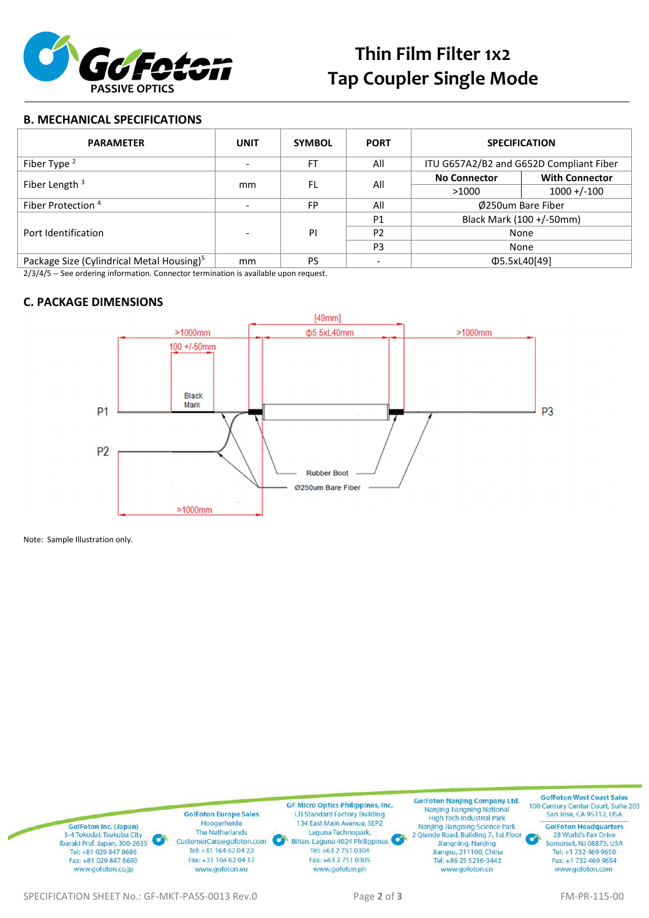

#### **B. MECHANICAL SPECIFICATIONS**

| <b>PARAMETER</b>                                      | <b>UNIT</b> | <b>SYMBOL</b> | <b>PORT</b>    | <b>SPECIFICATION</b>                    |                       |  |  |
|-------------------------------------------------------|-------------|---------------|----------------|-----------------------------------------|-----------------------|--|--|
| Fiber Type $2$                                        |             | FT            | All            | ITU G657A2/B2 and G652D Compliant Fiber |                       |  |  |
| Fiber Length $3$                                      | mm          | FL            | All            | <b>No Connector</b>                     | <b>With Connector</b> |  |  |
|                                                       |             |               |                | >1000                                   | $1000 + (-100$        |  |  |
| Fiber Protection <sup>4</sup>                         |             | <b>FP</b>     | All            | Ø250um Bare Fiber                       |                       |  |  |
| Port Identification                                   |             | PI            | P <sub>1</sub> | Black Mark (100 +/-50mm)                |                       |  |  |
|                                                       |             |               | P <sub>2</sub> | None                                    |                       |  |  |
|                                                       |             |               | P <sub>3</sub> | None                                    |                       |  |  |
| Package Size (Cylindrical Metal Housing) <sup>5</sup> | mm          | <b>PS</b>     |                | Φ5.5xL40[49]                            |                       |  |  |

2/3/4/5 -- See ordering information. Connector termination is available upon request.

#### **C. PACKAGE DIMENSIONS**



Note: Sample Illustration only.